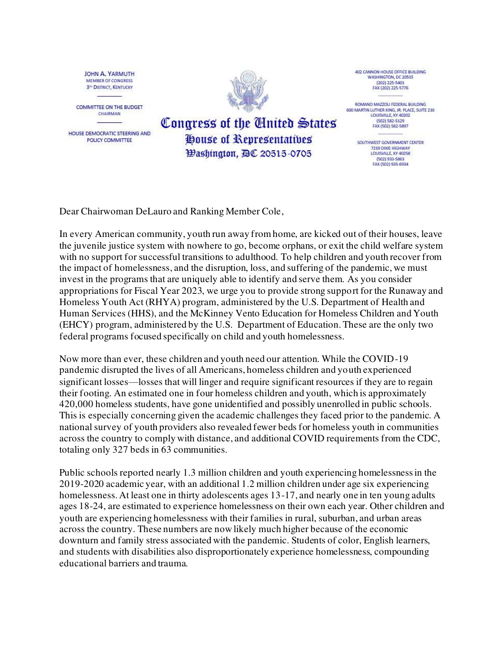JOHN A. YARMUTH MEMBER OF CONGRESS **3<sup>11</sup> DISTRICT, KENTUCKY** 

**COMMITTEE ON THE BUDGET** CHAIRMAN

HOUSE DEMOCRATIC STEERING AND POLICY COMMITTEE



Congress of the Cinited States

**House of Representatives** 

Hashington, 四C 20515-0705

402 CANNON HOUSE OFFICE BUILDING WASHINGTON, DC 20515 (202) 225-5401 FAX (202) 225-5776

ROMANO MAZZOLI FEDERAL BUILDING 600 MARTIN LUTHER KING, JR. PLACE, SUITE 216<br>LOUISVILLE, KY 40202 (502) 582-5129 FAX (502) 582-5897

> SOUTHWEST GOVERNMENT CENTER 7219 DIXIE HIGHWAY **TOURSAILLE KY 40258** (502) 933-5863 FAX (502) 935-6934

Dear Chairwoman DeLauro and Ranking Member Cole,

In every American community, youth run away from home, are kicked out of their houses, leave the juvenile justice system with nowhere to go, become orphans, or exit the child welfare system with no support for successful transitions to adulthood. To help children and youth recover from the impact of homelessness, and the disruption, loss, and suffering of the pandemic, we must invest in the programs that are uniquely able to identify and serve them. As you consider appropriations for Fiscal Year 2023, we urge you to provide strong support for the Runaway and Homeless Youth Act (RHYA) program, administered by the U.S. Department of Health and Human Services (HHS), and the McKinney Vento Education for Homeless Children and Youth (EHCY) program, administered by the U.S. Department of Education. These are the only two federal programs focused specifically on child and youth homelessness.

Now more than ever, these children and youth need our attention. While the COVID-19 pandemic disrupted the lives of all Americans, homeless children and youth experienced significant losses—losses that will linger and require significant resources if they are to regain their footing. An estimated one in four homeless children and youth, which is approximately 420,000 homeless students, have gone unidentified and possibly unenrolled in public schools. This is especially concerning given the academic challenges they faced prior to the pandemic. A national survey of youth providers also revealed fewer beds for homeless youth in communities across the country to comply with distance, and additional COVID requirements from the CDC, totaling only 327 beds in 63 communities.

Public schools reported nearly 1.3 million children and youth experiencing homelessness in the 2019-2020 academic year, with an additional 1.2 million children under age six experiencing homelessness. At least one in thirty adolescents ages 13-17, and nearly one in ten young adults ages 18-24, are estimated to experience homelessness on their own each year. Other children and youth are experiencing homelessness with their families in rural, suburban, and urban areas across the country. These numbers are now likely much higher because of the economic downturn and family stress associated with the pandemic. Students of color, English learners, and students with disabilities also disproportionately experience homelessness, compounding educational barriers and trauma.